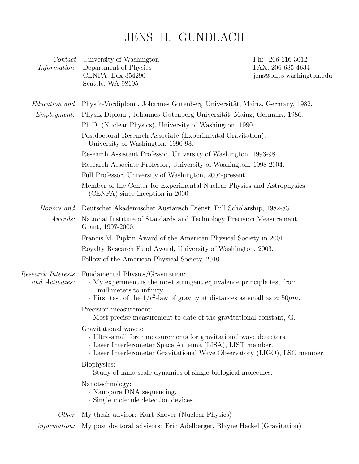## JENS H. GUNDLACH

| $\mathit{Context}$<br>Information:    | University of Washington<br>Department of Physics<br>CENPA, Box 354290<br>Seattle, WA 98195                                                                                                                                          | Ph: 206-616-3012<br>FAX: 206-685-4634<br>jens@phys.washington.edu |  |
|---------------------------------------|--------------------------------------------------------------------------------------------------------------------------------------------------------------------------------------------------------------------------------------|-------------------------------------------------------------------|--|
| <i>Education and</i>                  | Physik-Vordiplom, Johannes Gutenberg Universität, Mainz, Germany, 1982.                                                                                                                                                              |                                                                   |  |
| <i>Employment:</i>                    | Physik-Diplom, Johannes Gutenberg Universität, Mainz, Germany, 1986.                                                                                                                                                                 |                                                                   |  |
|                                       | Ph.D. (Nuclear Physics), University of Washington, 1990.                                                                                                                                                                             |                                                                   |  |
|                                       | Postdoctoral Research Associate (Experimental Gravitation),<br>University of Washington, 1990-93.                                                                                                                                    |                                                                   |  |
|                                       | Research Assistant Professor, University of Washington, 1993-98.                                                                                                                                                                     |                                                                   |  |
|                                       | Research Associate Professor, University of Washington, 1998-2004.                                                                                                                                                                   |                                                                   |  |
|                                       | Full Professor, University of Washington, 2004-present.                                                                                                                                                                              |                                                                   |  |
|                                       | Member of the Center for Experimental Nuclear Physics and Astrophysics<br>(CENPA) since inception in 2000.                                                                                                                           |                                                                   |  |
| Honors and                            | Deutscher Akademischer Austausch Dienst, Full Scholarship, 1982-83.                                                                                                                                                                  |                                                                   |  |
| Awards:                               | National Institute of Standards and Technology Precision Measurement<br>Grant, 1997-2000.                                                                                                                                            |                                                                   |  |
|                                       | Francis M. Pipkin Award of the American Physical Society in 2001.                                                                                                                                                                    |                                                                   |  |
|                                       | Royalty Research Fund Award, University of Washington, 2003.                                                                                                                                                                         |                                                                   |  |
|                                       | Fellow of the American Physical Society, 2010.                                                                                                                                                                                       |                                                                   |  |
| Research Interests<br>and Activities: | Fundamental Physics/Gravitation:<br>- My experiment is the most stringent equivalence principle test from<br>millimeters to infinity.<br>- First test of the $1/r^2$ -law of gravity at distances as small as $\approx 50 \mu m$ .   |                                                                   |  |
|                                       | Precision measurement:<br>- Most precise measurement to date of the gravitational constant, G.                                                                                                                                       |                                                                   |  |
|                                       | Gravitational waves:<br>- Ultra-small force measurements for gravitational wave detectors.<br>- Laser Interferometer Space Antenna (LISA), LIST member.<br>- Laser Interferometer Gravitational Wave Observatory (LIGO), LSC member. |                                                                   |  |
|                                       | Biophysics:<br>- Study of nano-scale dynamics of single biological molecules.                                                                                                                                                        |                                                                   |  |
|                                       | Nanotechnology:<br>- Nanopore DNA sequencing.<br>- Single molecule detection devices.                                                                                                                                                |                                                                   |  |
| <i>Other</i>                          | My thesis advisor: Kurt Snover (Nuclear Physics)                                                                                                                                                                                     |                                                                   |  |
| <i>information:</i>                   | My post doctoral advisors: Eric Adelberger, Blayne Heckel (Gravitation)                                                                                                                                                              |                                                                   |  |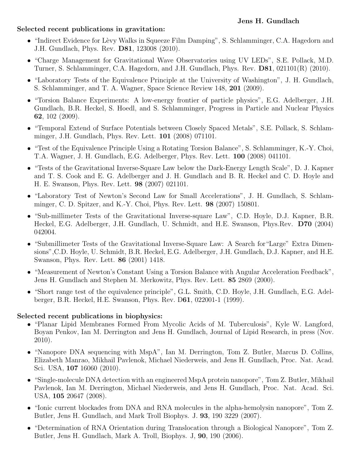## **Selected recent publications in gravitation:**

- "Indirect Evidence for Lèvy Walks in Squeeze Film Damping", S. Schlamminger, C.A. Hagedorn and J.H. Gundlach, Phys. Rev. **D81**, 123008 (2010).
- "Charge Management for Gravitational Wave Observatories using UV LEDs", S.E. Pollack, M.D. Turner, S. Schlamminger, C.A. Hagedorn, and J.H. Gundlach, Phys. Rev. **D81**, 021101(R) (2010).
- "Laboratory Tests of the Equivalence Principle at the University of Washington", J. H. Gundlach, S. Schlamminger, and T. A. Wagner, Space Science Review 148, **201** (2009).
- "Torsion Balance Experiments: A low-energy frontier of particle physics", E.G. Adelberger, J.H. Gundlach, B.R. Heckel, S. Hoedl, and S. Schlamminger, Progress in Particle and Nuclear Physics **62**, 102 (2009).
- "Temporal Extend of Surface Potentials between Closely Spaced Metals", S.E. Pollack, S. Schlamminger, J.H. Gundlach, Phys. Rev. Lett. **101** (2008) 071101.
- "Test of the Equivalence Principle Using a Rotating Torsion Balance", S. Schlamminger, K.-Y. Choi, T.A. Wagner, J. H. Gundlach, E.G. Adelberger, Phys. Rev. Lett. **100** (2008) 041101.
- "Tests of the Gravitational Inverse-Square Law below the Dark-Energy Length Scale", D. J. Kapner and T. S. Cook and E. G. Adelberger and J. H. Gundlach and B. R. Heckel and C. D. Hoyle and H. E. Swanson, Phys. Rev. Lett. **98** (2007) 021101.
- "Laboratory Test of Newton's Second Law for Small Accelerations", J. H. Gundlach, S. Schlamminger, C. D. Spitzer, and K.-Y. Choi, Phys. Rev. Lett. **98** (2007) 150801.
- "Sub-millimeter Tests of the Gravitational Inverse-square Law", C.D. Hoyle, D.J. Kapner, B.R. Heckel, E.G. Adelberger, J.H. Gundlach, U. Schmidt, and H.E. Swanson, Phys.Rev. **D70** (2004) 042004.
- "Submillimeter Tests of the Gravitational Inverse-Square Law: A Search for "Large" Extra Dimensions",C.D. Hoyle, U. Schmidt, B.R. Heckel, E.G. Adelberger, J.H. Gundlach, D.J. Kapner, and H.E. Swanson, Phys. Rev. Lett. **86** (2001) 1418.
- "Measurement of Newton's Constant Using a Torsion Balance with Angular Acceleration Feedback", Jens H. Gundlach and Stephen M. Merkowitz, Phys. Rev. Lett. **85** 2869 (2000).
- "Short range test of the equivalence principle", G.L. Smith, C.D. Hoyle, J.H. Gundlach, E.G. Adelberger, B.R. Heckel, H.E. Swanson, Phys. Rev. D**61**, 022001-1 (1999).

## **Selected recent publications in biophysics:**

- "Planar Lipid Membranes Formed From Mycolic Acids of M. Tuberculosis", Kyle W. Langford, Boyan Penkov, Ian M. Derrington and Jens H. Gundlach, Journal of Lipid Research, in press (Nov. 2010).
- "Nanopore DNA sequencing with MspA", Ian M. Derrington, Tom Z. Butler, Marcus D. Collins, Elizabeth Manrao, Mikhail Pavlenok, Michael Niederweis, and Jens H. Gundlach, Proc. Nat. Acad. Sci. USA, **107** 16060 (2010).
- "Single-molecule DNA detection with an engineered MspA protein nanopore", Tom Z. Butler, Mikhail Pavlenok, Ian M. Derrington, Michael Niederweis, and Jens H. Gundlach, Proc. Nat. Acad. Sci. USA, **105** 20647 (2008).
- "Ionic current blockades from DNA and RNA molecules in the alpha-hemolysin nanopore", Tom Z. Butler, Jens H. Gundlach, and Mark Troll Biophys. J. **93**, 190 3229 (2007).
- "Determination of RNA Orientation during Translocation through a Biological Nanopore", Tom Z. Butler, Jens H. Gundlach, Mark A. Troll, Biophys. J, **90**, 190 (2006).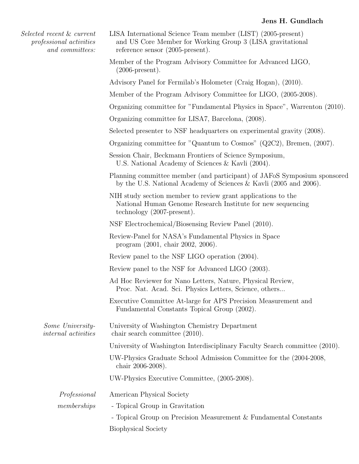| Selected recent & current<br><i>professional activities</i><br>and committees: | LISA International Science Team member (LIST) (2005-present)<br>and US Core Member for Working Group 3 (LISA gravitational<br>reference sensor $(2005$ -present).   |
|--------------------------------------------------------------------------------|---------------------------------------------------------------------------------------------------------------------------------------------------------------------|
|                                                                                | Member of the Program Advisory Committee for Advanced LIGO,<br>$(2006\text{-}present).$                                                                             |
|                                                                                | Advisory Panel for Fermilab's Holometer (Craig Hogan), (2010).                                                                                                      |
|                                                                                | Member of the Program Advisory Committee for LIGO, (2005-2008).                                                                                                     |
|                                                                                | Organizing committee for "Fundamental Physics in Space", Warrenton (2010).                                                                                          |
|                                                                                | Organizing committee for LISA7, Barcelona, (2008).                                                                                                                  |
|                                                                                | Selected presenter to NSF headquarters on experimental gravity (2008).                                                                                              |
|                                                                                | Organizing committee for "Quantum to Cosmos" (Q2C2), Bremen, (2007).                                                                                                |
|                                                                                | Session Chair, Beckmann Frontiers of Science Symposium,<br>U.S. National Academy of Sciences & Kavli (2004).                                                        |
|                                                                                | Planning committee member (and participant) of JAFoS Symposium sponsored<br>by the U.S. National Academy of Sciences & Kavli (2005 and 2006).                       |
|                                                                                | NIH study section member to review grant applications to the<br>National Human Genome Research Institute for new sequencing<br>technology $(2007\text{-present})$ . |
|                                                                                | NSF Electrochemical/Biosensing Review Panel (2010).                                                                                                                 |
|                                                                                | Review-Panel for NASA's Fundamental Physics in Space<br>program (2001, chair 2002, 2006).                                                                           |
|                                                                                | Review panel to the NSF LIGO operation (2004).                                                                                                                      |
|                                                                                | Review panel to the NSF for Advanced LIGO (2003).                                                                                                                   |
|                                                                                | Ad Hoc Reviewer for Nano Letters, Nature, Physical Review,<br>Proc. Nat. Acad. Sci. Physics Letters, Science, others                                                |
|                                                                                | Executive Committee At-large for APS Precision Measurement and<br>Fundamental Constants Topical Group (2002).                                                       |
| Some University-<br><i>internal activities</i>                                 | University of Washington Chemistry Department<br>chair search committee (2010).                                                                                     |
|                                                                                | University of Washington Interdisciplinary Faculty Search committee (2010).                                                                                         |
|                                                                                | UW-Physics Graduate School Admission Committee for the (2004-2008,<br>chair 2006-2008).                                                                             |
|                                                                                | UW-Physics Executive Committee, (2005-2008).                                                                                                                        |
| Professional                                                                   | American Physical Society                                                                                                                                           |
| memberships                                                                    | - Topical Group in Gravitation                                                                                                                                      |
|                                                                                | - Topical Group on Precision Measurement & Fundamental Constants                                                                                                    |
|                                                                                | Biophysical Society                                                                                                                                                 |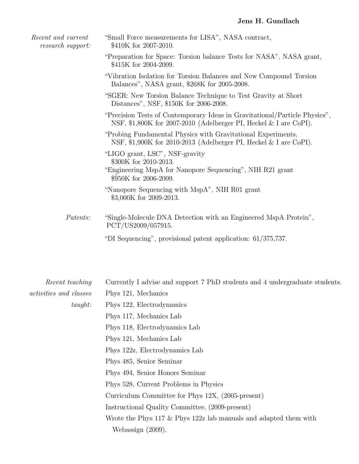| Recent and current<br>research support: | "Small Force measurements for LISA", NASA contract,<br>\$410K for 2007-2010.                                                                      |
|-----------------------------------------|---------------------------------------------------------------------------------------------------------------------------------------------------|
|                                         | "Preparation for Space: Torsion balance Tests for NASA", NASA grant,<br>\$415K for 2004-2009.                                                     |
|                                         | "Vibration Isolation for Torsion Balances and New Compound Torsion<br>Balances", NASA grant, \$268K for 2005-2008.                                |
|                                         | "SGER: New Torsion Balance Technique to Test Gravity at Short<br>Distances", NSF, \$150K for 2006-2008.                                           |
|                                         | "Precision Tests of Contemporary Ideas in Gravitational/Particle Physics",<br>NSF, \$1,800K for 2007-2010 (Adelberger PI, Heckel $&$ I are CoPI). |
|                                         | "Probing Fundamental Physics with Gravitational Experiments,<br>NSF, \$1,900K for 2010-2013 (Adelberger PI, Heckel $&$ I are CoPI).               |
|                                         | "LIGO grant, LSC", NSF-gravity<br>\$300K for 2010-2013.<br>"Engineering MspA for Nanopore Sequencing", NIH R21 grant<br>\$950K for 2006-2009.     |
|                                         | "Nanopore Sequencing with MspA", NIH R01 grant<br>\$3,000K for 2009-2013.                                                                         |
| <i>Patents:</i>                         | "Single-Molecule DNA Detection with an Engineered MspA Protein",<br>PCT/US2009/057915.                                                            |
|                                         | "DI Sequencing", provisional patent application: 61/375,737.                                                                                      |

| Recent teaching               | Currently I advise and support 7 PhD students and 4 undergraduate students. |
|-------------------------------|-----------------------------------------------------------------------------|
| <i>activities and classes</i> | Phys 121, Mechanics                                                         |
| taught:                       | Phys 122, Electrodynamics                                                   |
|                               | Phys 117, Mechanics Lab                                                     |
|                               | Phys 118, Electrodynamics Lab                                               |
|                               | Phys 121, Mechanics Lab                                                     |
|                               | Phys 122z, Electrodynamics Lab                                              |
|                               | Phys 485, Senior Seminar                                                    |
|                               | Phys 494, Senior Honors Seminar                                             |
|                               | Phys 528, Current Problems in Physics                                       |
|                               | Curriculum Committee for Phys 12X, (2005-present)                           |
|                               | Instructional Quality Committee, (2009-present)                             |
|                               | Wrote the Phys $117 \&$ Phys $122z$ lab manuals and adapted them with       |
|                               | Webassign $(2009)$ .                                                        |
|                               |                                                                             |